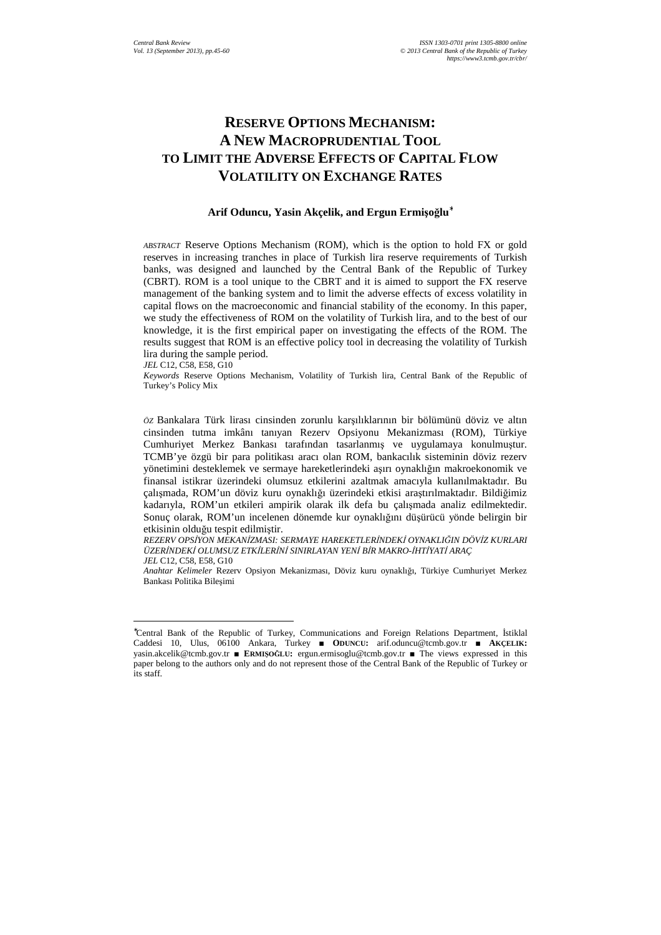# **RESERVE OPTIONS MECHANISM: A NEW MACROPRUDENTIAL TOOL TO LIMIT THE ADVERSE EFFECTS OF CAPITAL FLOW VOLATILITY ON EXCHANGE RATES**

#### **Arif Oduncu, Yasin Akçelik, and Ergun Ermişoğlu**<sup>∗</sup>

*ABSTRACT* Reserve Options Mechanism (ROM), which is the option to hold FX or gold reserves in increasing tranches in place of Turkish lira reserve requirements of Turkish banks, was designed and launched by the Central Bank of the Republic of Turkey (CBRT). ROM is a tool unique to the CBRT and it is aimed to support the FX reserve management of the banking system and to limit the adverse effects of excess volatility in capital flows on the macroeconomic and financial stability of the economy. In this paper, we study the effectiveness of ROM on the volatility of Turkish lira, and to the best of our knowledge, it is the first empirical paper on investigating the effects of the ROM. The results suggest that ROM is an effective policy tool in decreasing the volatility of Turkish lira during the sample period.

*JEL* C12, C58, E58, G10

l

*Keywords* Reserve Options Mechanism, Volatility of Turkish lira, Central Bank of the Republic of Turkey's Policy Mix

*ÖZ* Bankalara Türk lirası cinsinden zorunlu karşılıklarının bir bölümünü döviz ve altın cinsinden tutma imkânı tanıyan Rezerv Opsiyonu Mekanizması (ROM), Türkiye Cumhuriyet Merkez Bankası tarafından tasarlanmış ve uygulamaya konulmuştur. TCMB'ye özgü bir para politikası aracı olan ROM, bankacılık sisteminin döviz rezerv yönetimini desteklemek ve sermaye hareketlerindeki aşırı oynaklığın makroekonomik ve finansal istikrar üzerindeki olumsuz etkilerini azaltmak amacıyla kullanılmaktadır. Bu çalışmada, ROM'un döviz kuru oynaklığı üzerindeki etkisi araştırılmaktadır. Bildiğimiz kadarıyla, ROM'un etkileri ampirik olarak ilk defa bu çalışmada analiz edilmektedir. Sonuç olarak, ROM'un incelenen dönemde kur oynaklığını düşürücü yönde belirgin bir etkisinin olduğu tespit edilmiştir.

*REZERV OPSİYON MEKANİZMASI: SERMAYE HAREKETLERİNDEKİ OYNAKLIĞIN DÖVİZ KURLARI ÜZERİNDEKİ OLUMSUZ ETKİLERİNİ SINIRLAYAN YENİ BİR MAKRO-İHTİYATİ ARAÇ JEL* C12, C58, E58, G10

*Anahtar Kelimeler* Rezerv Opsiyon Mekanizması, Döviz kuru oynaklığı, Türkiye Cumhuriyet Merkez Bankası Politika Bileşimi

<sup>∗</sup>Central Bank of the Republic of Turkey, Communications and Foreign Relations Department, İstiklal Caddesi 10, Ulus, 06100 Ankara, Turkey ■ **ODUNCU:** arif.oduncu@tcmb.gov.tr ■ **AKÇELIK:** yasin.akcelik@tcmb.gov.tr ■ **ERMIŞOĞLU:** ergun.ermisoglu@tcmb.gov.tr ■ The views expressed in this paper belong to the authors only and do not represent those of the Central Bank of the Republic of Turkey or its staff.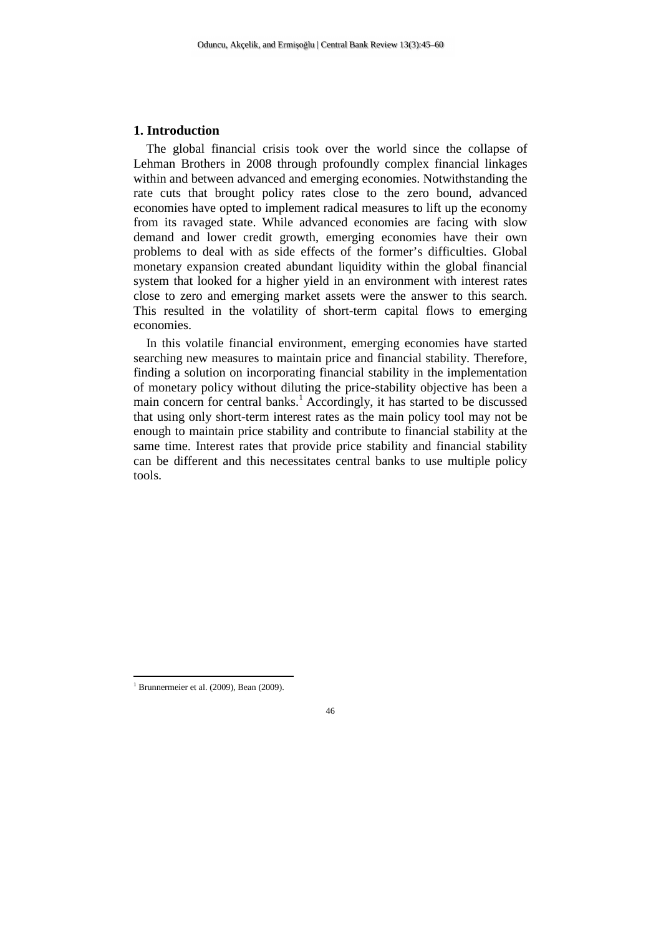# **1. Introduction**

The global financial crisis took over the world since the collapse of Lehman Brothers in 2008 through profoundly complex financial linkages within and between advanced and emerging economies. Notwithstanding the rate cuts that brought policy rates close to the zero bound, advanced economies have opted to implement radical measures to lift up the economy from its ravaged state. While advanced economies are facing with slow demand and lower credit growth, emerging economies have their own problems to deal with as side effects of the former's difficulties. Global monetary expansion created abundant liquidity within the global financial system that looked for a higher yield in an environment with interest rates close to zero and emerging market assets were the answer to this search. This resulted in the volatility of short-term capital flows to emerging economies.

In this volatile financial environment, emerging economies have started searching new measures to maintain price and financial stability. Therefore, finding a solution on incorporating financial stability in the implementation of monetary policy without diluting the price-stability objective has been a main concern for central banks.<sup>1</sup> Accordingly, it has started to be discussed that using only short-term interest rates as the main policy tool may not be enough to maintain price stability and contribute to financial stability at the same time. Interest rates that provide price stability and financial stability can be different and this necessitates central banks to use multiple policy tools.

<sup>&</sup>lt;sup>1</sup> Brunnermeier et al. (2009), Bean (2009).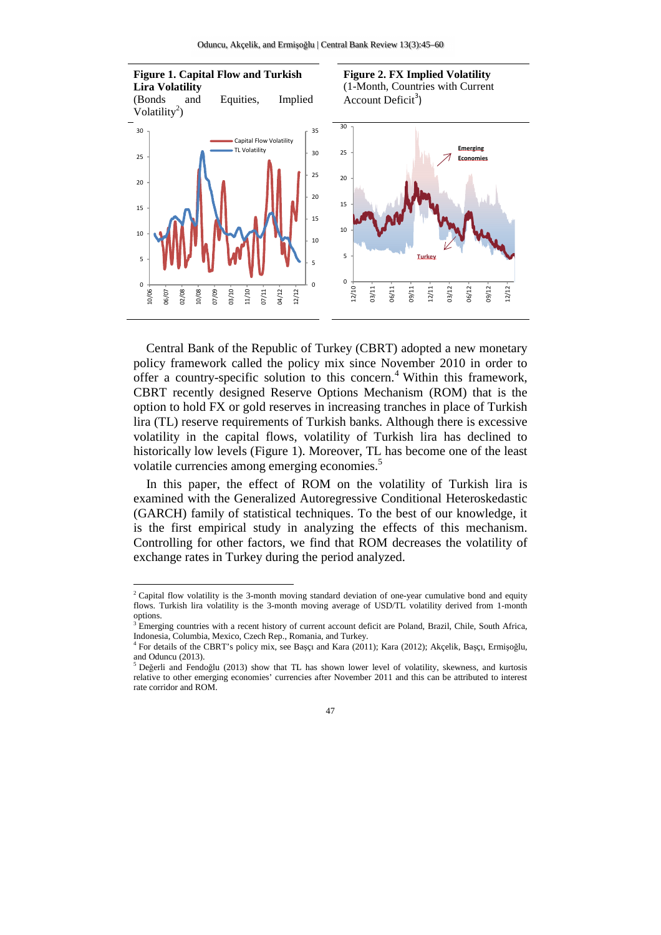

Central Bank of the Republic of Turkey (CBRT) adopted a new monetary policy framework called the policy mix since November 2010 in order to offer a country-specific solution to this concern.<sup>4</sup> Within this framework, CBRT recently designed Reserve Options Mechanism (ROM) that is the option to hold FX or gold reserves in increasing tranches in place of Turkish lira (TL) reserve requirements of Turkish banks. Although there is excessive volatility in the capital flows, volatility of Turkish lira has declined to historically low levels (Figure 1). Moreover, TL has become one of the least volatile currencies among emerging economies.<sup>5</sup>

In this paper, the effect of ROM on the volatility of Turkish lira is examined with the Generalized Autoregressive Conditional Heteroskedastic (GARCH) family of statistical techniques. To the best of our knowledge, it is the first empirical study in analyzing the effects of this mechanism. Controlling for other factors, we find that ROM decreases the volatility of exchange rates in Turkey during the period analyzed.

<sup>&</sup>lt;sup>2</sup> Capital flow volatility is the 3-month moving standard deviation of one-year cumulative bond and equity flows. Turkish lira volatility is the 3-month moving average of USD/TL volatility derived from 1-month options.

<sup>&</sup>lt;sup>3</sup> Emerging countries with a recent history of current account deficit are Poland, Brazil, Chile, South Africa, Indonesia, Columbia, Mexico, Czech Rep., Romania, and Turkey.

<sup>4</sup> For details of the CBRT's policy mix, see Başçı and Kara (2011); Kara (2012); Akçelik, Başçı, Ermişoğlu, and Oduncu (2013).

<sup>5</sup> Değerli and Fendoğlu (2013) show that TL has shown lower level of volatility, skewness, and kurtosis relative to other emerging economies' currencies after November 2011 and this can be attributed to interest rate corridor and ROM.

<sup>47</sup>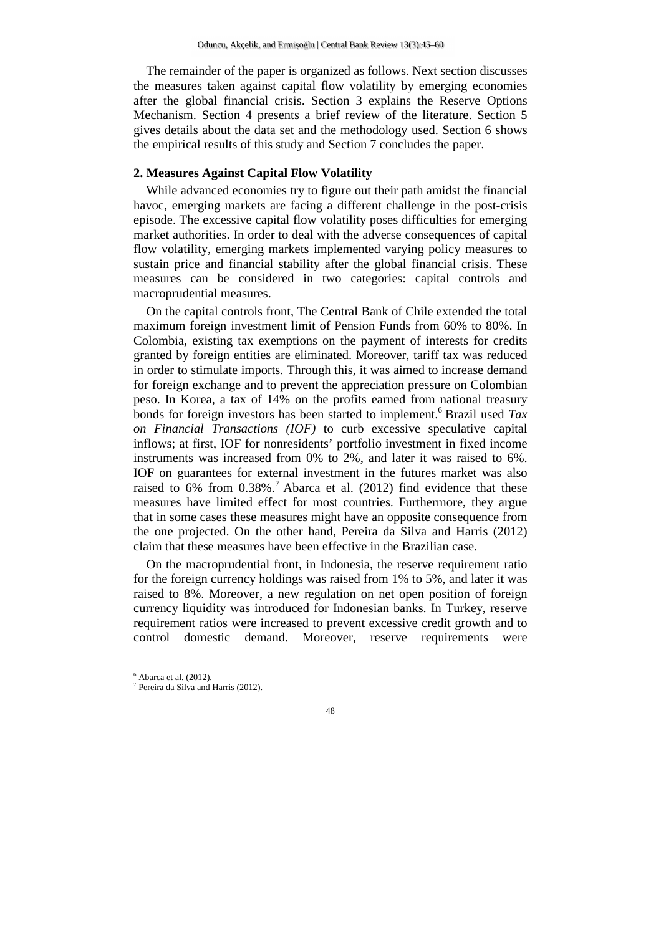The remainder of the paper is organized as follows. Next section discusses the measures taken against capital flow volatility by emerging economies after the global financial crisis. Section 3 explains the Reserve Options Mechanism. Section 4 presents a brief review of the literature. Section 5 gives details about the data set and the methodology used. Section 6 shows the empirical results of this study and Section 7 concludes the paper.

# **2. Measures Against Capital Flow Volatility**

While advanced economies try to figure out their path amidst the financial havoc, emerging markets are facing a different challenge in the post-crisis episode. The excessive capital flow volatility poses difficulties for emerging market authorities. In order to deal with the adverse consequences of capital flow volatility, emerging markets implemented varying policy measures to sustain price and financial stability after the global financial crisis. These measures can be considered in two categories: capital controls and macroprudential measures.

On the capital controls front, The Central Bank of Chile extended the total maximum foreign investment limit of Pension Funds from 60% to 80%. In Colombia, existing tax exemptions on the payment of interests for credits granted by foreign entities are eliminated. Moreover, tariff tax was reduced in order to stimulate imports. Through this, it was aimed to increase demand for foreign exchange and to prevent the appreciation pressure on Colombian peso. In Korea, a tax of 14% on the profits earned from national treasury bonds for foreign investors has been started to implement.<sup>6</sup> Brazil used *Tax on Financial Transactions (IOF)* to curb excessive speculative capital inflows; at first, IOF for nonresidents' portfolio investment in fixed income instruments was increased from 0% to 2%, and later it was raised to 6%. IOF on guarantees for external investment in the futures market was also raised to 6% from  $0.38\%$ .<sup>7</sup> Abarca et al. (2012) find evidence that these measures have limited effect for most countries. Furthermore, they argue that in some cases these measures might have an opposite consequence from the one projected. On the other hand, Pereira da Silva and Harris (2012) claim that these measures have been effective in the Brazilian case.

On the macroprudential front, in Indonesia, the reserve requirement ratio for the foreign currency holdings was raised from 1% to 5%, and later it was raised to 8%. Moreover, a new regulation on net open position of foreign currency liquidity was introduced for Indonesian banks. In Turkey, reserve requirement ratios were increased to prevent excessive credit growth and to control domestic demand. Moreover, reserve requirements were

 $<sup>6</sup>$  Abarca et al. (2012).</sup>

<sup>7</sup> Pereira da Silva and Harris (2012).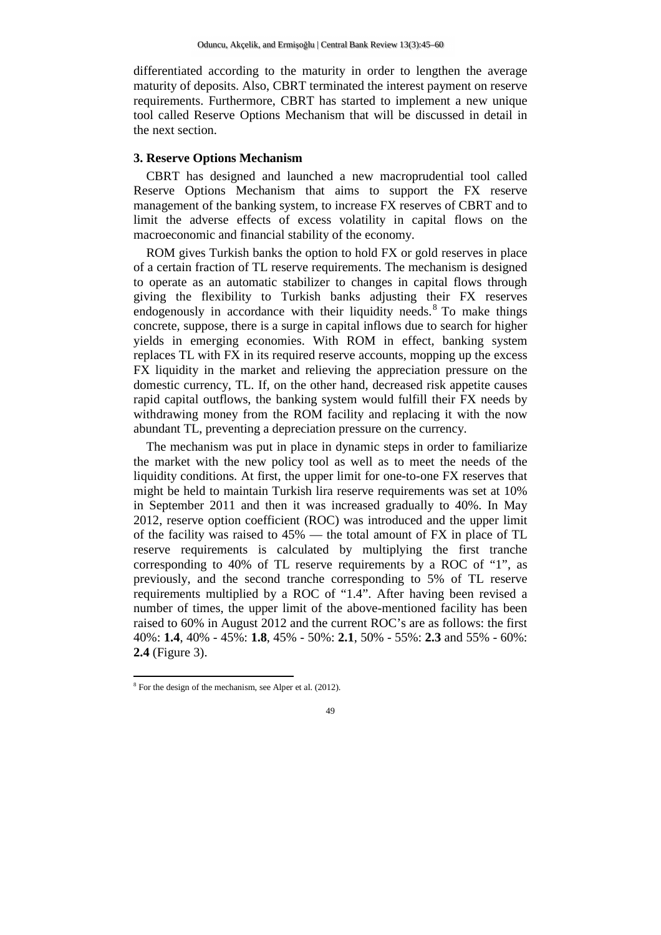differentiated according to the maturity in order to lengthen the average maturity of deposits. Also, CBRT terminated the interest payment on reserve requirements. Furthermore, CBRT has started to implement a new unique tool called Reserve Options Mechanism that will be discussed in detail in the next section.

### **3. Reserve Options Mechanism**

CBRT has designed and launched a new macroprudential tool called Reserve Options Mechanism that aims to support the FX reserve management of the banking system, to increase FX reserves of CBRT and to limit the adverse effects of excess volatility in capital flows on the macroeconomic and financial stability of the economy.

ROM gives Turkish banks the option to hold FX or gold reserves in place of a certain fraction of TL reserve requirements. The mechanism is designed to operate as an automatic stabilizer to changes in capital flows through giving the flexibility to Turkish banks adjusting their FX reserves endogenously in accordance with their liquidity needs.<sup>8</sup> To make things concrete, suppose, there is a surge in capital inflows due to search for higher yields in emerging economies. With ROM in effect, banking system replaces TL with FX in its required reserve accounts, mopping up the excess FX liquidity in the market and relieving the appreciation pressure on the domestic currency, TL. If, on the other hand, decreased risk appetite causes rapid capital outflows, the banking system would fulfill their FX needs by withdrawing money from the ROM facility and replacing it with the now abundant TL, preventing a depreciation pressure on the currency.

The mechanism was put in place in dynamic steps in order to familiarize the market with the new policy tool as well as to meet the needs of the liquidity conditions. At first, the upper limit for one-to-one FX reserves that might be held to maintain Turkish lira reserve requirements was set at 10% in September 2011 and then it was increased gradually to 40%. In May 2012, reserve option coefficient (ROC) was introduced and the upper limit of the facility was raised to 45% — the total amount of FX in place of TL reserve requirements is calculated by multiplying the first tranche corresponding to 40% of TL reserve requirements by a ROC of "1", as previously, and the second tranche corresponding to 5% of TL reserve requirements multiplied by a ROC of "1.4". After having been revised a number of times, the upper limit of the above-mentioned facility has been raised to 60% in August 2012 and the current ROC's are as follows: the first 40%: **1.4**, 40% - 45%: **1.8**, 45% - 50%: **2.1**, 50% - 55%: **2.3** and 55% - 60%: **2.4** (Figure 3).

 $8 \text{ For the design of the mechanism, see Alper et al. (2012).}$ 

<sup>49</sup>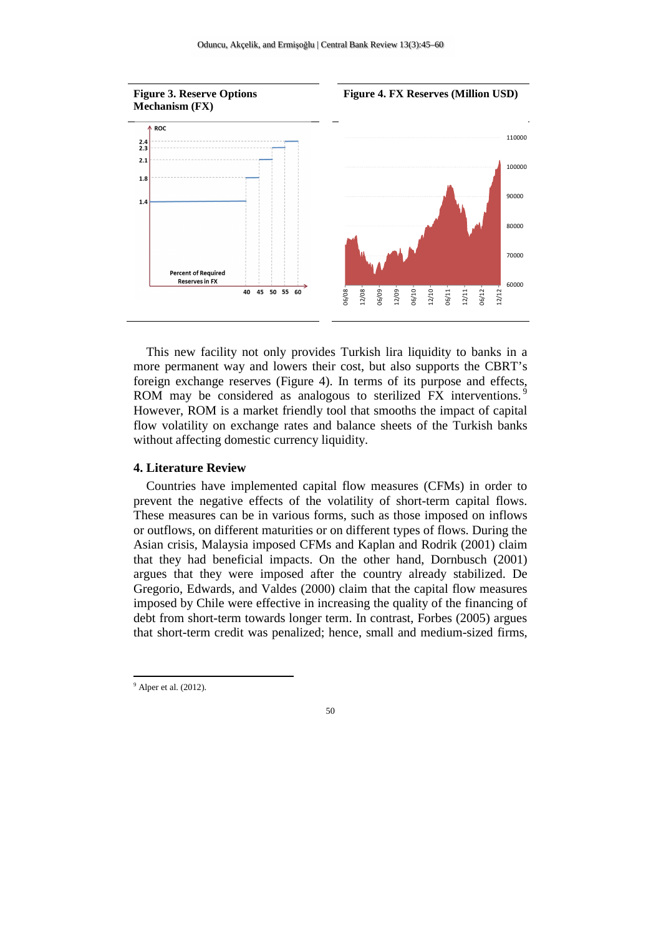

This new facility not only provides Turkish lira liquidity to banks in a more permanent way and lowers their cost, but also supports the CBRT's foreign exchange reserves (Figure 4). In terms of its purpose and effects, ROM may be considered as analogous to sterilized FX interventions.<sup>9</sup> However, ROM is a market friendly tool that smooths the impact of capital flow volatility on exchange rates and balance sheets of the Turkish banks without affecting domestic currency liquidity.

# **4. Literature Review**

Countries have implemented capital flow measures (CFMs) in order to prevent the negative effects of the volatility of short-term capital flows. These measures can be in various forms, such as those imposed on inflows or outflows, on different maturities or on different types of flows. During the Asian crisis, Malaysia imposed CFMs and Kaplan and Rodrik (2001) claim that they had beneficial impacts. On the other hand, Dornbusch (2001) argues that they were imposed after the country already stabilized. De Gregorio, Edwards, and Valdes (2000) claim that the capital flow measures imposed by Chile were effective in increasing the quality of the financing of debt from short-term towards longer term. In contrast, Forbes (2005) argues that short-term credit was penalized; hence, small and medium-sized firms,

 $<sup>9</sup>$  Alper et al. (2012).</sup>

<sup>50</sup>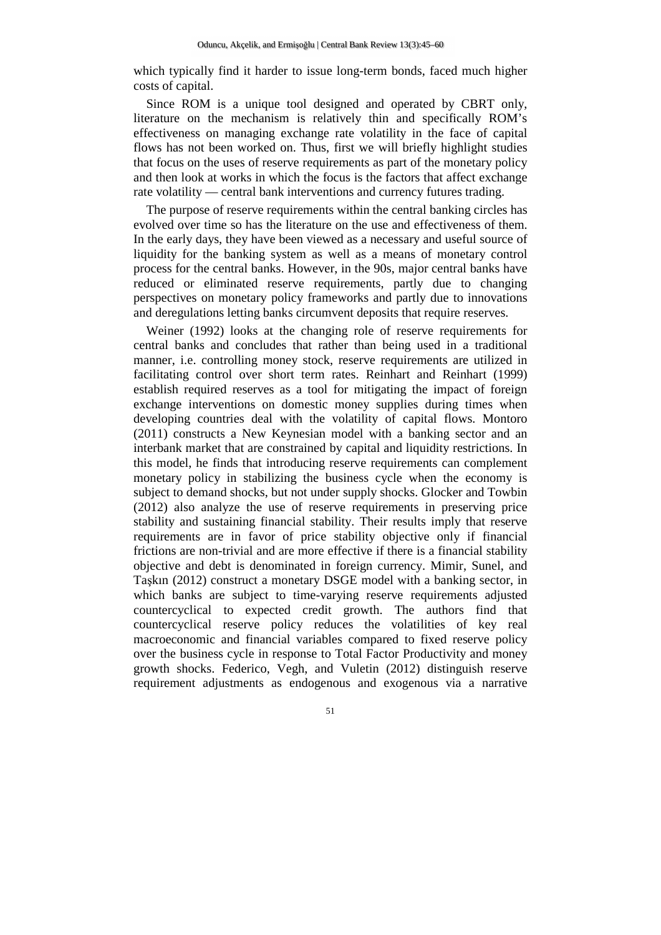which typically find it harder to issue long-term bonds, faced much higher costs of capital.

Since ROM is a unique tool designed and operated by CBRT only, literature on the mechanism is relatively thin and specifically ROM's effectiveness on managing exchange rate volatility in the face of capital flows has not been worked on. Thus, first we will briefly highlight studies that focus on the uses of reserve requirements as part of the monetary policy and then look at works in which the focus is the factors that affect exchange rate volatility — central bank interventions and currency futures trading.

The purpose of reserve requirements within the central banking circles has evolved over time so has the literature on the use and effectiveness of them. In the early days, they have been viewed as a necessary and useful source of liquidity for the banking system as well as a means of monetary control process for the central banks. However, in the 90s, major central banks have reduced or eliminated reserve requirements, partly due to changing perspectives on monetary policy frameworks and partly due to innovations and deregulations letting banks circumvent deposits that require reserves.

Weiner (1992) looks at the changing role of reserve requirements for central banks and concludes that rather than being used in a traditional manner, i.e. controlling money stock, reserve requirements are utilized in facilitating control over short term rates. Reinhart and Reinhart (1999) establish required reserves as a tool for mitigating the impact of foreign exchange interventions on domestic money supplies during times when developing countries deal with the volatility of capital flows. Montoro (2011) constructs a New Keynesian model with a banking sector and an interbank market that are constrained by capital and liquidity restrictions. In this model, he finds that introducing reserve requirements can complement monetary policy in stabilizing the business cycle when the economy is subject to demand shocks, but not under supply shocks. Glocker and Towbin (2012) also analyze the use of reserve requirements in preserving price stability and sustaining financial stability. Their results imply that reserve requirements are in favor of price stability objective only if financial frictions are non-trivial and are more effective if there is a financial stability objective and debt is denominated in foreign currency. Mimir, Sunel, and Taşkın (2012) construct a monetary DSGE model with a banking sector, in which banks are subject to time-varying reserve requirements adjusted countercyclical to expected credit growth. The authors find that countercyclical reserve policy reduces the volatilities of key real macroeconomic and financial variables compared to fixed reserve policy over the business cycle in response to Total Factor Productivity and money growth shocks. Federico, Vegh, and Vuletin (2012) distinguish reserve requirement adjustments as endogenous and exogenous via a narrative

51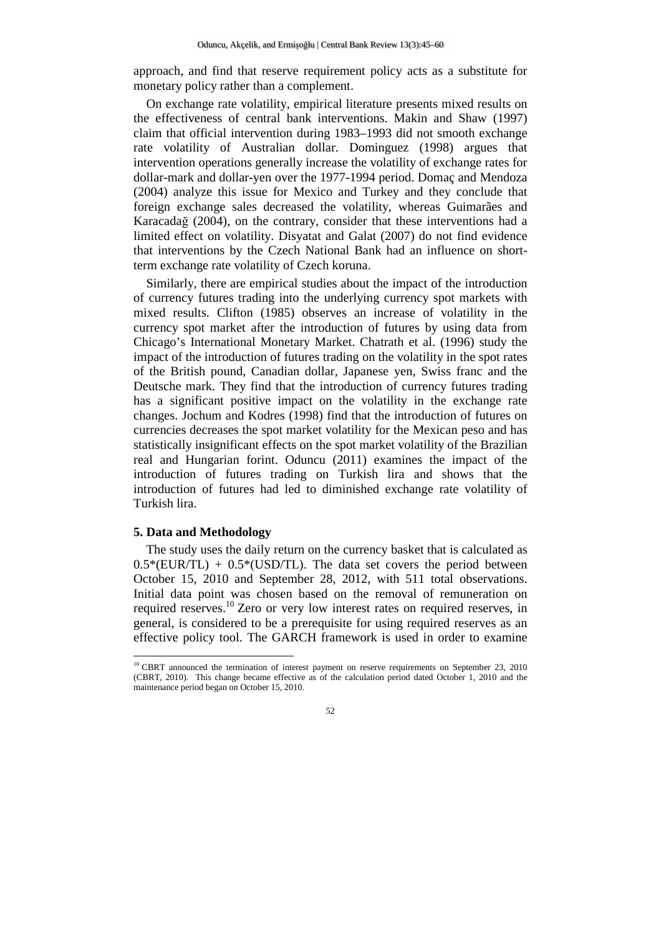approach, and find that reserve requirement policy acts as a substitute for monetary policy rather than a complement.

On exchange rate volatility, empirical literature presents mixed results on the effectiveness of central bank interventions. Makin and Shaw (1997) claim that official intervention during 1983–1993 did not smooth exchange rate volatility of Australian dollar. Dominguez (1998) argues that intervention operations generally increase the volatility of exchange rates for dollar-mark and dollar-yen over the 1977-1994 period. Domaç and Mendoza (2004) analyze this issue for Mexico and Turkey and they conclude that foreign exchange sales decreased the volatility, whereas Guimarães and Karacadağ (2004), on the contrary, consider that these interventions had a limited effect on volatility. Disyatat and Galat (2007) do not find evidence that interventions by the Czech National Bank had an influence on shortterm exchange rate volatility of Czech koruna.

Similarly, there are empirical studies about the impact of the introduction of currency futures trading into the underlying currency spot markets with mixed results. Clifton (1985) observes an increase of volatility in the currency spot market after the introduction of futures by using data from Chicago's International Monetary Market. Chatrath et al. (1996) study the impact of the introduction of futures trading on the volatility in the spot rates of the British pound, Canadian dollar, Japanese yen, Swiss franc and the Deutsche mark. They find that the introduction of currency futures trading has a significant positive impact on the volatility in the exchange rate changes. Jochum and Kodres (1998) find that the introduction of futures on currencies decreases the spot market volatility for the Mexican peso and has statistically insignificant effects on the spot market volatility of the Brazilian real and Hungarian forint. Oduncu (2011) examines the impact of the introduction of futures trading on Turkish lira and shows that the introduction of futures had led to diminished exchange rate volatility of Turkish lira.

# **5. Data and Methodology**

 $\overline{a}$ 

The study uses the daily return on the currency basket that is calculated as  $0.5*(EUR/TL) + 0.5*(USD/TL)$ . The data set covers the period between October 15, 2010 and September 28, 2012, with 511 total observations. Initial data point was chosen based on the removal of remuneration on required reserves.<sup>10</sup> Zero or very low interest rates on required reserves, in general, is considered to be a prerequisite for using required reserves as an effective policy tool. The GARCH framework is used in order to examine

<sup>&</sup>lt;sup>10</sup> CBRT announced the termination of interest payment on reserve requirements on September 23, 2010 (CBRT, 2010). This change became effective as of the calculation period dated October 1, 2010 and the maintenance period began on October 15, 2010.

<sup>52</sup>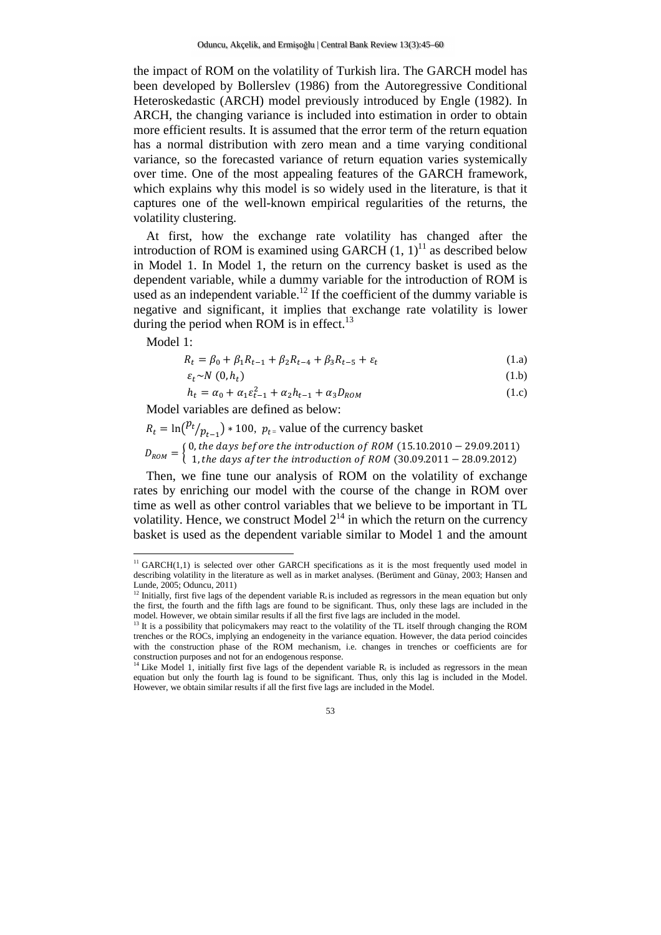the impact of ROM on the volatility of Turkish lira. The GARCH model has been developed by Bollerslev (1986) from the Autoregressive Conditional Heteroskedastic (ARCH) model previously introduced by Engle (1982). In ARCH, the changing variance is included into estimation in order to obtain more efficient results. It is assumed that the error term of the return equation has a normal distribution with zero mean and a time varying conditional variance, so the forecasted variance of return equation varies systemically over time. One of the most appealing features of the GARCH framework, which explains why this model is so widely used in the literature, is that it captures one of the well-known empirical regularities of the returns, the volatility clustering.

At first, how the exchange rate volatility has changed after the introduction of ROM is examined using GARCH  $(1, 1)^{11}$  as described below in Model 1. In Model 1, the return on the currency basket is used as the dependent variable, while a dummy variable for the introduction of ROM is used as an independent variable.<sup>12</sup> If the coefficient of the dummy variable is negative and significant, it implies that exchange rate volatility is lower during the period when ROM is in effect.<sup>13</sup>

Model 1:

l

$$
R_t = \beta_0 + \beta_1 R_{t-1} + \beta_2 R_{t-4} + \beta_3 R_{t-5} + \varepsilon_t
$$
 (1.a)

$$
\varepsilon_t \sim N(0, h_t) \tag{1.b}
$$

$$
h_t = \alpha_0 + \alpha_1 \varepsilon_{t-1}^2 + \alpha_2 h_{t-1} + \alpha_3 D_{ROM}
$$
 (1.c)

Model variables are defined as below:

$$
R_t = \ln\left(\frac{pt}{p_{t-1}}\right) * 100, \ p_{t=}
$$
 value of the currency basket  

$$
D_{ROM} = \begin{cases} 0, the \ days \ before \ the \ introduction \ of \ ROM \ (15.10.2010 - 29.09.2011) \\ 1, the \ days \ after \ the \ introduction \ of \ ROM \ (30.09.2011 - 28.09.2012) \end{cases}
$$

Then, we fine tune our analysis of ROM on the volatility of exchange rates by enriching our model with the course of the change in ROM over time as well as other control variables that we believe to be important in TL volatility. Hence, we construct Model  $2^{14}$  in which the return on the currency basket is used as the dependent variable similar to Model 1 and the amount

 $11$  GARCH(1,1) is selected over other GARCH specifications as it is the most frequently used model in describing volatility in the literature as well as in market analyses. (Berüment and Günay, 2003; Hansen and Lunde, 2005; Oduncu, 2011)

<sup>&</sup>lt;sup>12</sup> Initially, first five lags of the dependent variable  $R_t$  is included as regressors in the mean equation but only the first, the fourth and the fifth lags are found to be significant. Thus, only these lags are included in the model. However, we obtain similar results if all the first five lags are included in the model.

<sup>&</sup>lt;sup>13</sup> It is a possibility that policymakers may react to the volatility of the TL itself through changing the ROM trenches or the ROCs, implying an endogeneity in the variance equation. However, the data period coincides with the construction phase of the ROM mechanism, i.e. changes in trenches or coefficients are for construction purposes and not for an endogenous response.

<sup>&</sup>lt;sup>14</sup> Like Model 1, initially first five lags of the dependent variable  $R_t$  is included as regressors in the mean equation but only the fourth lag is found to be significant. Thus, only this lag is included in the Model. However, we obtain similar results if all the first five lags are included in the Model.

<sup>53</sup>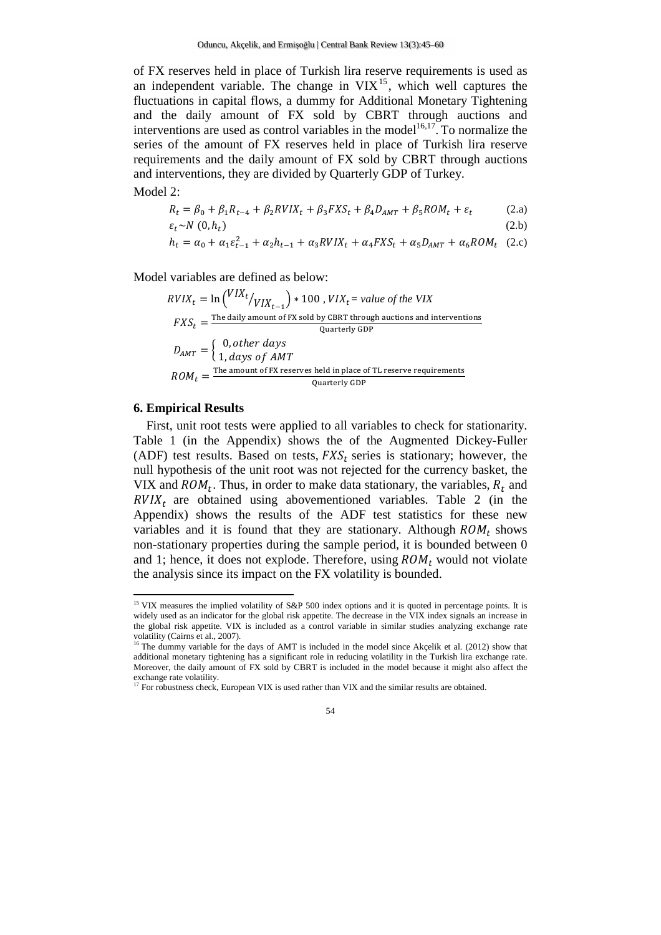of FX reserves held in place of Turkish lira reserve requirements is used as an independent variable. The change in  $VIX<sup>15</sup>$ , which well captures the fluctuations in capital flows, a dummy for Additional Monetary Tightening and the daily amount of FX sold by CBRT through auctions and interventions are used as control variables in the model<sup>16,17</sup>. To normalize the series of the amount of FX reserves held in place of Turkish lira reserve requirements and the daily amount of FX sold by CBRT through auctions and interventions, they are divided by Quarterly GDP of Turkey.

Model 2:

$$
R_t = \beta_0 + \beta_1 R_{t-4} + \beta_2 R V I X_t + \beta_3 F X S_t + \beta_4 D_{AMT} + \beta_5 R O M_t + \varepsilon_t
$$
 (2.a)  

$$
\varepsilon_t \sim N (0, h_t)
$$
 (2.b)

$$
h_t = \alpha_0 + \alpha_1 \varepsilon_{t-1}^2 + \alpha_2 h_{t-1} + \alpha_3 R V I X_t + \alpha_4 F X S_t + \alpha_5 D_{AMT} + \alpha_6 R O M_t
$$
 (2.c)

Model variables are defined as below:

$$
RVIX_t = \ln\left(\frac{VIX_t}{VIX_{t-1}}\right) * 100, \, VIX_t = value \, of \, the \, VIX
$$
\n
$$
FXS_t = \frac{\text{The daily amount of FX sold by CBRT through auctions and interventions}}{\text{Quarterly GDP}}
$$
\n
$$
D_{AMT} = \begin{cases} 0, \, other \, days \\ 1, \, days \, of \, AMT \end{cases}
$$
\n
$$
ROM_t = \frac{\text{The amount of FX reserves held in place of TL reserve requirements}}{\text{Quarterly GDP}}
$$

# **6. Empirical Results**

First, unit root tests were applied to all variables to check for stationarity. Table 1 (in the Appendix) shows the of the Augmented Dickey-Fuller (ADF) test results. Based on tests,  $FXS_t$  series is stationary; however, the null hypothesis of the unit root was not rejected for the currency basket, the VIX and  $ROM_t$ . Thus, in order to make data stationary, the variables,  $R_t$  and  $RVIX_t$  are obtained using abovementioned variables. Table 2 (in the Appendix) shows the results of the ADF test statistics for these new variables and it is found that they are stationary. Although  $ROM_t$  shows non-stationary properties during the sample period, it is bounded between 0 and 1; hence, it does not explode. Therefore, using  $ROM_t$  would not violate the analysis since its impact on the FX volatility is bounded.

<sup>&</sup>lt;sup>15</sup> VIX measures the implied volatility of S&P 500 index options and it is quoted in percentage points. It is widely used as an indicator for the global risk appetite. The decrease in the VIX index signals an increase in the global risk appetite. VIX is included as a control variable in similar studies analyzing exchange rate volatility (Cairns et al., 2007).

<sup>&</sup>lt;sup>16</sup> The dummy variable for the days of AMT is included in the model since Akçelik et al. (2012) show that additional monetary tightening has a significant role in reducing volatility in the Turkish lira exchange rate. Moreover, the daily amount of FX sold by CBRT is included in the model because it might also affect the exchange rate volatility.

<sup>&</sup>lt;sup>17</sup> For robustness check, European VIX is used rather than VIX and the similar results are obtained.

<sup>54</sup>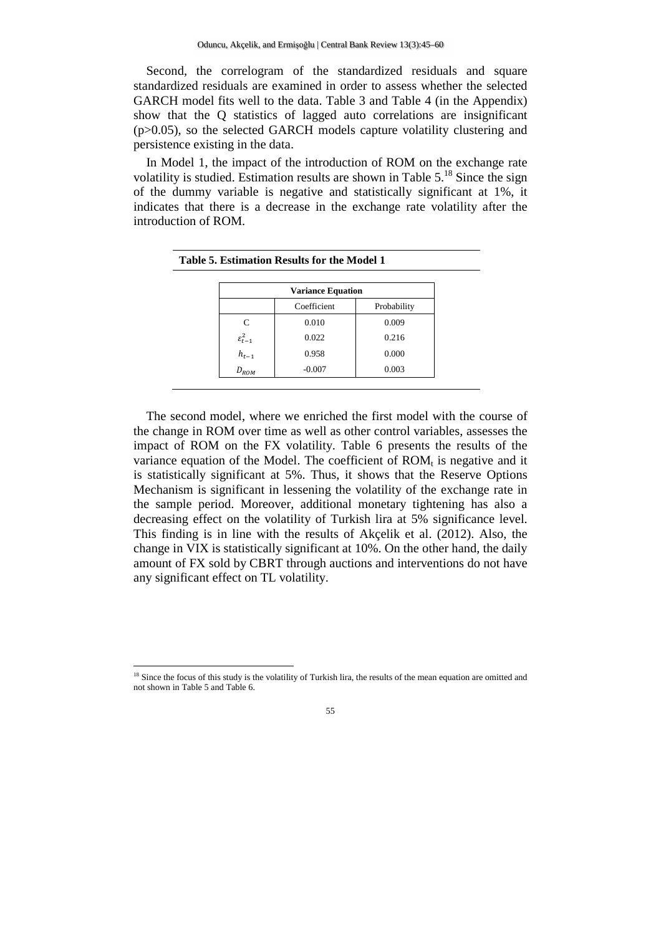Second, the correlogram of the standardized residuals and square standardized residuals are examined in order to assess whether the selected GARCH model fits well to the data. Table 3 and Table 4 (in the Appendix) show that the Q statistics of lagged auto correlations are insignificant  $(p>0.05)$ , so the selected GARCH models capture volatility clustering and persistence existing in the data.

In Model 1, the impact of the introduction of ROM on the exchange rate volatility is studied. Estimation results are shown in Table  $5<sup>18</sup>$  Since the sign of the dummy variable is negative and statistically significant at 1%, it indicates that there is a decrease in the exchange rate volatility after the introduction of ROM.

|                       | <b>Variance Equation</b> |             |  |
|-----------------------|--------------------------|-------------|--|
|                       | Coefficient              | Probability |  |
| C                     | 0.010                    | 0.009       |  |
| $\varepsilon_{t-1}^2$ | 0.022                    | 0.216       |  |
| $h_{t-1}$             | 0.958                    | 0.000       |  |
| $D_{ROM}$             | $-0.007$                 | 0.003       |  |

The second model, where we enriched the first model with the course of the change in ROM over time as well as other control variables, assesses the impact of ROM on the FX volatility. Table 6 presents the results of the variance equation of the Model. The coefficient of  $ROM_t$  is negative and it is statistically significant at 5%. Thus, it shows that the Reserve Options Mechanism is significant in lessening the volatility of the exchange rate in the sample period. Moreover, additional monetary tightening has also a decreasing effect on the volatility of Turkish lira at 5% significance level. This finding is in line with the results of Akçelik et al. (2012). Also, the change in VIX is statistically significant at 10%. On the other hand, the daily amount of FX sold by CBRT through auctions and interventions do not have any significant effect on TL volatility.

l

<sup>&</sup>lt;sup>18</sup> Since the focus of this study is the volatility of Turkish lira, the results of the mean equation are omitted and not shown in Table 5 and Table 6.

<sup>55</sup>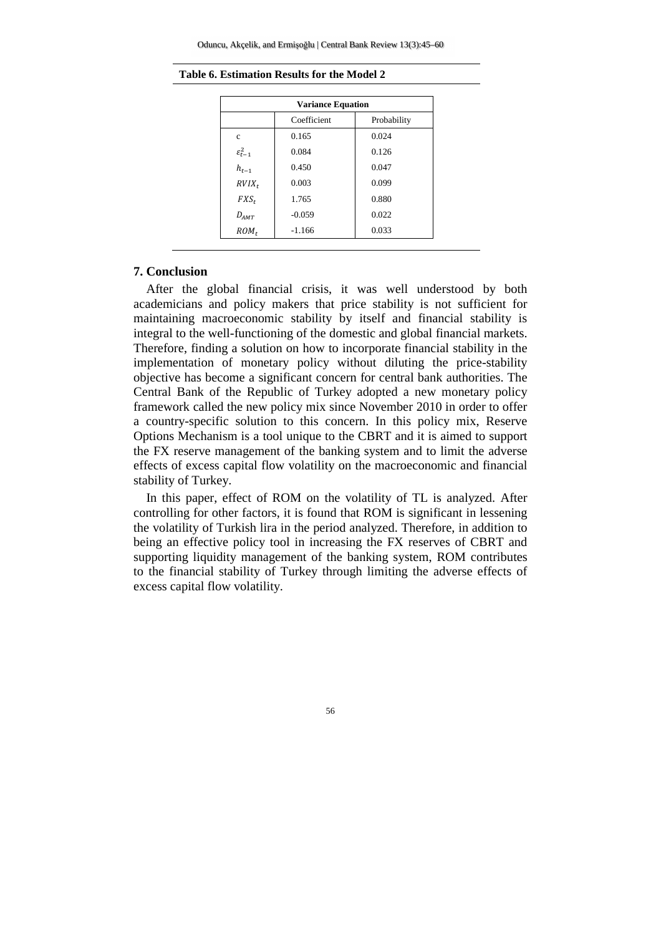| <b>Variance Equation</b> |             |             |  |
|--------------------------|-------------|-------------|--|
|                          | Coefficient | Probability |  |
| $\mathbf c$              | 0.165       | 0.024       |  |
| $\varepsilon_{t-1}^2$    | 0.084       | 0.126       |  |
| $h_{t-1}$                | 0.450       | 0.047       |  |
| $RVIX_t$                 | 0.003       | 0.099       |  |
| $FXS_t$                  | 1.765       | 0.880       |  |
| $D_{AMT}$                | $-0.059$    | 0.022       |  |
| $ROM_t$                  | $-1.166$    | 0.033       |  |

### **7. Conclusion**

After the global financial crisis, it was well understood by both academicians and policy makers that price stability is not sufficient for maintaining macroeconomic stability by itself and financial stability is integral to the well-functioning of the domestic and global financial markets. Therefore, finding a solution on how to incorporate financial stability in the implementation of monetary policy without diluting the price-stability objective has become a significant concern for central bank authorities. The Central Bank of the Republic of Turkey adopted a new monetary policy framework called the new policy mix since November 2010 in order to offer a country-specific solution to this concern. In this policy mix, Reserve Options Mechanism is a tool unique to the CBRT and it is aimed to support the FX reserve management of the banking system and to limit the adverse effects of excess capital flow volatility on the macroeconomic and financial stability of Turkey.

In this paper, effect of ROM on the volatility of TL is analyzed. After controlling for other factors, it is found that ROM is significant in lessening the volatility of Turkish lira in the period analyzed. Therefore, in addition to being an effective policy tool in increasing the FX reserves of CBRT and supporting liquidity management of the banking system, ROM contributes to the financial stability of Turkey through limiting the adverse effects of excess capital flow volatility.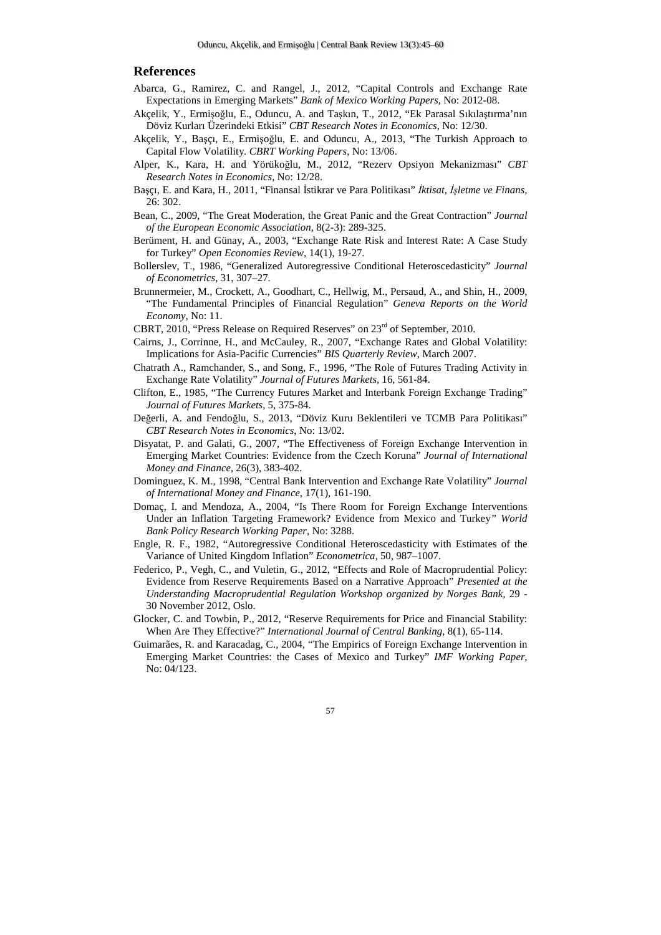#### **References**

- Abarca, G., Ramirez, C. and Rangel, J., 2012, "Capital Controls and Exchange Rate Expectations in Emerging Markets" *Bank of Mexico Working Papers*, No: 2012-08.
- Akçelik, Y., Ermişoğlu, E., Oduncu, A. and Taşkın, T., 2012, "Ek Parasal Sıkılaştırma'nın Döviz Kurları Üzerindeki Etkisi" *CBT Research Notes in Economics*, No: 12/30.
- Akçelik, Y., Başçı, E., Ermişoğlu, E. and Oduncu, A., 2013, "The Turkish Approach to Capital Flow Volatility. *CBRT Working Papers*, No: 13/06.
- Alper, K., Kara, H. and Yörükoğlu, M., 2012, "Rezerv Opsiyon Mekanizması" *CBT Research Notes in Economics*, No: 12/28.
- Başçı, E. and Kara, H., 2011, "Finansal İstikrar ve Para Politikası" *İktisat, İşletme ve Finans*, 26: 302.
- Bean, C., 2009, "The Great Moderation, the Great Panic and the Great Contraction" *Journal of the European Economic Association*, 8(2-3): 289-325.
- Berüment, H. and Günay, A., 2003, "Exchange Rate Risk and Interest Rate: A Case Study for Turkey" *Open Economies Review,* 14(1), 19-27.
- Bollerslev, T., 1986, "Generalized Autoregressive Conditional Heteroscedasticity" *Journal of Econometrics*, 31, 307–27.
- Brunnermeier, M., Crockett, A., Goodhart, C., Hellwig, M., Persaud, A., and Shin, H., 2009, "The Fundamental Principles of Financial Regulation" *Geneva Reports on the World Economy*, No: 11.
- CBRT, 2010, "Press Release on Required Reserves" on 23<sup>rd</sup> of September, 2010.
- Cairns, J., Corrinne, H., and McCauley, R., 2007, "Exchange Rates and Global Volatility: Implications for Asia-Pacific Currencies" *BIS Quarterly Review*, March 2007.
- Chatrath A., Ramchander, S., and Song, F., 1996, "The Role of Futures Trading Activity in Exchange Rate Volatility" *Journal of Futures Markets*, 16, 561-84.
- Clifton, E., 1985, "The Currency Futures Market and Interbank Foreign Exchange Trading" *Journal of Futures Markets*, 5, 375-84.
- Değerli, A. and Fendoğlu, S., 2013, "Döviz Kuru Beklentileri ve TCMB Para Politikası" *CBT Research Notes in Economics*, No: 13/02.
- Disyatat, P. and Galati, G., 2007, "The Effectiveness of Foreign Exchange Intervention in Emerging Market Countries: Evidence from the Czech Koruna" *Journal of International Money and Finance*, 26(3), 383-402.
- Dominguez, K. M., 1998, "Central Bank Intervention and Exchange Rate Volatility" *Journal of International Money and Finance*, 17(1), 161-190.
- Domaç, I. and Mendoza, A., 2004, "Is There Room for Foreign Exchange Interventions Under an Inflation Targeting Framework? Evidence from Mexico and Turkey*" World Bank Policy Research Working Paper,* No: 3288.
- Engle, R. F., 1982, "Autoregressive Conditional Heteroscedasticity with Estimates of the Variance of United Kingdom Inflation" *Econometrica*, 50, 987–1007.
- Federico, P., Vegh, C., and Vuletin, G., 2012, "Effects and Role of Macroprudential Policy: Evidence from Reserve Requirements Based on a Narrative Approach" *Presented at the Understanding Macroprudential Regulation Workshop organized by Norges Bank,* 29 - 30 November 2012, Oslo.
- Glocker, C. and Towbin, P., 2012, "Reserve Requirements for Price and Financial Stability: When Are They Effective?" *International Journal of Central Banking*, 8(1), 65-114.
- Guimarães, R. and Karacadag, C., 2004, "The Empirics of Foreign Exchange Intervention in Emerging Market Countries: the Cases of Mexico and Turkey" *IMF Working Paper,* No: 04/123.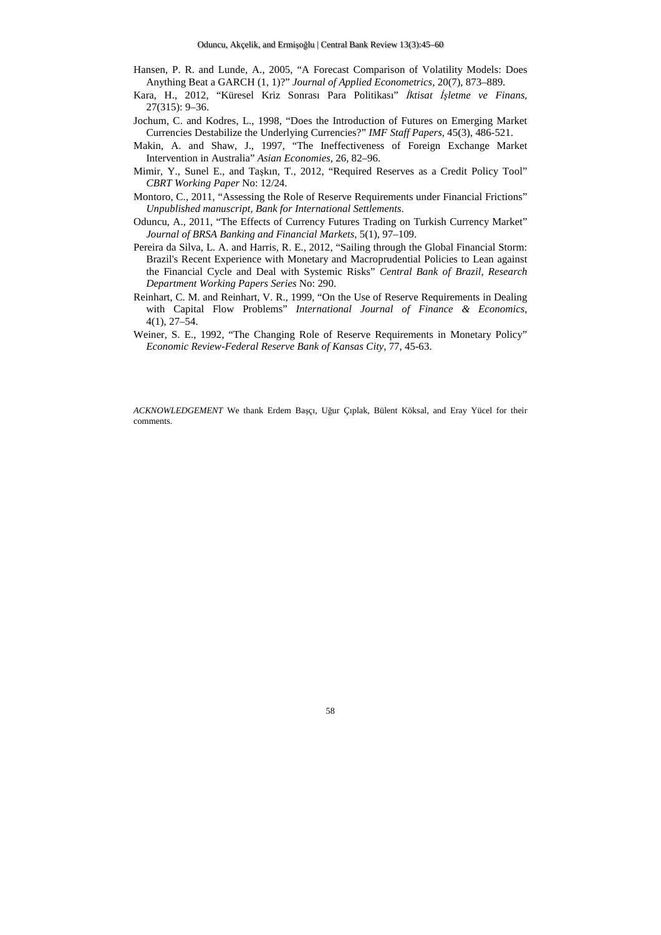- Hansen, P. R. and Lunde, A., 2005, "A Forecast Comparison of Volatility Models: Does Anything Beat a GARCH (1, 1)?" *Journal of Applied Econometrics*, 20(7), 873–889.
- Kara, H., 2012, "Küresel Kriz Sonrası Para Politikası" *İktisat İşletme ve Finans,*  27(315): 9–36.
- Jochum, C. and Kodres, L., 1998, "Does the Introduction of Futures on Emerging Market Currencies Destabilize the Underlying Currencies?" *IMF Staff Papers*, 45(3), 486-521.
- Makin, A. and Shaw, J., 1997, "The Ineffectiveness of Foreign Exchange Market Intervention in Australia" *Asian Economies,* 26, 82–96.
- Mimir, Y., Sunel E., and Taşkın, T., 2012, "Required Reserves as a Credit Policy Tool" *CBRT Working Paper* No: 12/24.
- Montoro, C., 2011, "Assessing the Role of Reserve Requirements under Financial Frictions" *Unpublished manuscript, Bank for International Settlements*.
- Oduncu, A., 2011, "The Effects of Currency Futures Trading on Turkish Currency Market" *Journal of BRSA Banking and Financial Markets*, 5(1), 97–109.
- Pereira da Silva, L. A. and Harris, R. E., 2012, "Sailing through the Global Financial Storm: Brazil's Recent Experience with Monetary and Macroprudential Policies to Lean against the Financial Cycle and Deal with Systemic Risks" *Central Bank of Brazil, Research Department Working Papers Series* No: 290.
- Reinhart, C. M. and Reinhart, V. R., 1999, "On the Use of Reserve Requirements in Dealing with Capital Flow Problems" *International Journal of Finance & Economics*, 4(1), 27–54.
- Weiner, S. E., 1992, "The Changing Role of Reserve Requirements in Monetary Policy" *Economic Review-Federal Reserve Bank of Kansas City*, 77, 45-63.

*ACKNOWLEDGEMENT* We thank Erdem Başçı, Uğur Çıplak, Bülent Köksal, and Eray Yücel for their comments.

#### 58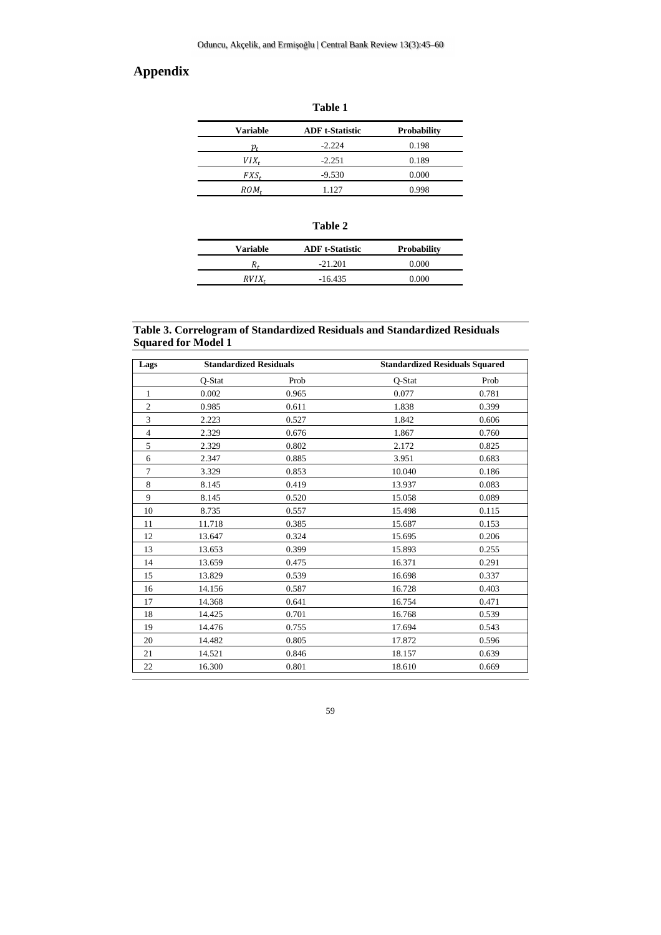# **Appendix**

| able |  |
|------|--|
|      |  |
|      |  |

| Variable | <b>ADF</b> t-Statistic | <b>Probability</b> |  |
|----------|------------------------|--------------------|--|
| p,       | $-2.224$               | 0.198              |  |
| VIX.     | $-2.251$               | 0.189              |  |
| FXS.     | $-9.530$               | 0.000              |  |
| ROM,     | 1.127                  | 0.998              |  |

|  | חו<br>۱<br>н<br>۰. |  |
|--|--------------------|--|
|--|--------------------|--|

| <b>Variable</b> | <b>ADF</b> t-Statistic | <b>Probability</b> |
|-----------------|------------------------|--------------------|
|                 | $-21.201$              | 0.000              |
| RVIX            | $-16.435$              | -0.000             |

#### **Table 3. Correlogram of Standardized Residuals and Standardized Residuals Squared for Model 1**

| Lags           | <b>Standardized Residuals</b> |       | <b>Standardized Residuals Squared</b> |       |
|----------------|-------------------------------|-------|---------------------------------------|-------|
|                | Q-Stat                        | Prob  | Q-Stat                                | Prob  |
| 1              | 0.002                         | 0.965 | 0.077                                 | 0.781 |
| $\overline{2}$ | 0.985                         | 0.611 | 1.838                                 | 0.399 |
| 3              | 2.223                         | 0.527 | 1.842                                 | 0.606 |
| $\overline{4}$ | 2.329                         | 0.676 | 1.867                                 | 0.760 |
| 5              | 2.329                         | 0.802 | 2.172                                 | 0.825 |
| 6              | 2.347                         | 0.885 | 3.951                                 | 0.683 |
| $\overline{7}$ | 3.329                         | 0.853 | 10.040                                | 0.186 |
| 8              | 8.145                         | 0.419 | 13.937                                | 0.083 |
| 9              | 8.145                         | 0.520 | 15.058                                | 0.089 |
| 10             | 8.735                         | 0.557 | 15.498                                | 0.115 |
| 11             | 11.718                        | 0.385 | 15.687                                | 0.153 |
| 12             | 13.647                        | 0.324 | 15.695                                | 0.206 |
| 13             | 13.653                        | 0.399 | 15.893                                | 0.255 |
| 14             | 13.659                        | 0.475 | 16.371                                | 0.291 |
| 15             | 13.829                        | 0.539 | 16.698                                | 0.337 |
| 16             | 14.156                        | 0.587 | 16.728                                | 0.403 |
| 17             | 14.368                        | 0.641 | 16.754                                | 0.471 |
| 18             | 14.425                        | 0.701 | 16.768                                | 0.539 |
| 19             | 14.476                        | 0.755 | 17.694                                | 0.543 |
| 20             | 14.482                        | 0.805 | 17.872                                | 0.596 |
| 21             | 14.521                        | 0.846 | 18.157                                | 0.639 |
| 22             | 16.300                        | 0.801 | 18.610                                | 0.669 |